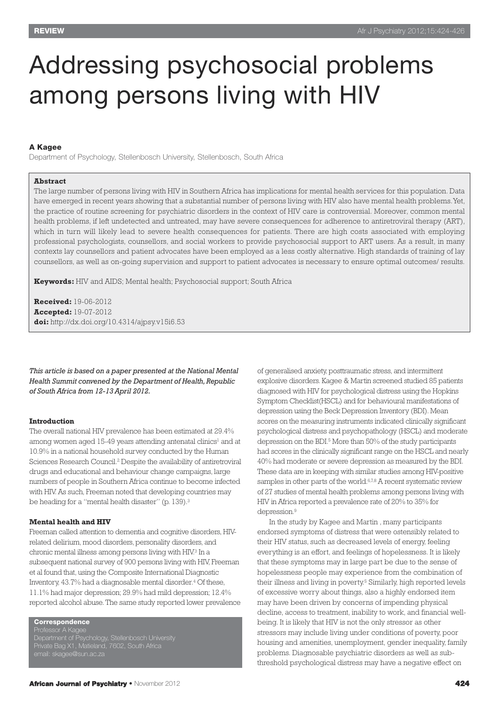# Addressing psychosocial problems among persons living with HIV

# **A Kagee**

Department of Psychology, Stellenbosch University, Stellenbosch, South Africa

# **Abstract**

The large number of persons living with HIV in Southern Africa has implications for mental health services for this population. Data have emerged in recent years showing that a substantial number of persons living with HIV also have mental health problems.Yet, the practice of routine screening for psychiatric disorders in the context of HIV care is controversial. Moreover, common mental health problems, if left undetected and untreated, may have severe consequences for adherence to antiretroviral therapy (ART), which in turn will likely lead to severe health consequences for patients. There are high costs associated with employing professional psychologists, counsellors, and social workers to provide psychosocial support to ART users. As a result, in many contexts lay counsellors and patient advocates have been employed as a less costly alternative. High standards of training of lay counsellors, as well as on-going supervision and support to patient advocates is necessary to ensure optimal outcomes/ results.

**Keywords:** HIV and AIDS; Mental health; Psychosocial support; South Africa

**Received:** 19-06-2012 **Accepted:** 19-07-2012 **doi:** http://dx.doi.org/10.4314/ajpsy.v15i6.53

*This article is based on a paper presented at the National Mental Health Summit convened by the Department of Health,Republic of South Africa from 12-13 April 2012.*

## **Introduction**

The overall national HIV prevalence has been estimated at 29.4% among women aged 15-49 years attending antenatal clinics<sup>1</sup> and at 10.9% in a national household survey conducted by the Human Sciences Research Council. <sup>2</sup> Despite the availability of antiretroviral drugs and educational and behaviour change campaigns, large numbers of people in Southern Africa continue to become infected with HIV. As such, Freeman noted that developing countries may be heading for a "mental health disaster" (p. 139).<sup>3</sup>

#### **Mental health and HIV**

Freeman called attention to dementia and cognitive disorders, HIVrelated delirium, mood disorders, personality disorders, and chronic mental illness among persons living with HIV. <sup>3</sup> In a subsequent national survey of 900 persons living with HIV, Freeman et al found that, using the Composite International Diagnostic Inventory, 43.7% had a diagnosable mental disorder. <sup>4</sup> Of these, 11.1% had major depression; 29.9% had mild depression; 12.4% reported alcohol abuse.The same study reported lower prevalence

#### **Correspondence**

Professor A Kagee Department of Psychology, Stellenbosch University Private Bag X1, Matieland, 7602, South Africa email: skagee@sun.ac.za

of generalised anxiety, posttraumatic stress, and intermittent explosive disorders. Kagee & Martin screened studied 85 patients diagnosed with HIV for psychological distress using the Hopkins Symptom Checklist(HSCL) and for behavioural manifestations of depression using the Beck Depression Inventory (BDI). Mean scores on the measuring instruments indicated clinically significant psychological distress and psychopathology (HSCL) and moderate depression on the BDI. <sup>5</sup> More than 50% of the study participants had scores in the clinically significant range on the HSCL and nearly 40% had moderate or severe depression as measured by the BDI. These data are in keeping with similar studies among HIV-positive samples in other parts of the world.<sup>6,7,8</sup> A recent systematic review of 27 studies of mental health problems among persons living with HIV in Africa reported a prevalence rate of 20% to 35% for depression. 9

In the study by Kagee and Martin , many participants endorsed symptoms of distress that were ostensibly related to their HIV status, such as decreased levels of energy, feeling everything is an effort, and feelings of hopelessness. It is likely that these symptoms may in large part be due to the sense of hopelessness people may experience from the combination of their illness and living in poverty. <sup>5</sup> Similarly, high reported levels of excessive worry about things, also a highly endorsed item may have been driven by concerns of impending physical decline, access to treatment, inability to work, and financial wellbeing. It is likely that HIV is not the only stressor as other stressors may include living under conditions of poverty, poor housing and amenities, unemployment, gender inequality, family problems. Diagnosable psychiatric disorders as well as subthreshold psychological distress may have a negative effect on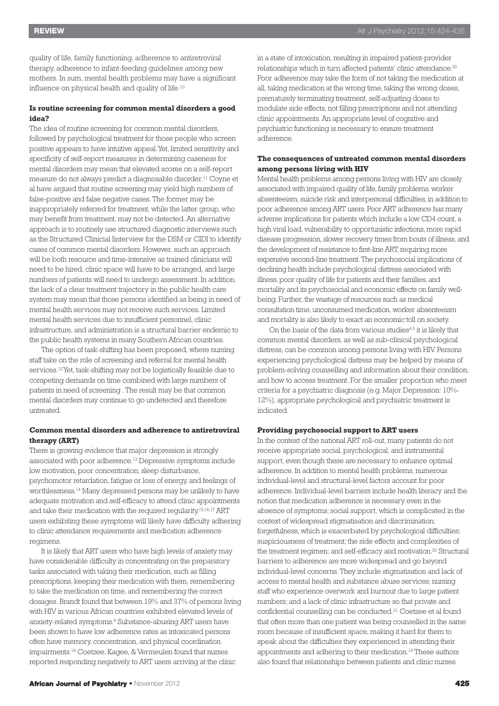quality of life, family functioning, adherence to antiretroviral therapy, adherence to infant-feeding guidelines among new mothers. In sum, mental health problems may have a significant influence on physical health and quality of life. 10

# **Is routine screening for common mental disorders a good idea?**

The idea of routine screening for common mental disorders, followed by psychological treatment for those people who screen positive appears to have intuitive appeal.Yet, limited sensitivity and specificity of self-report measures in determining caseness for mental disorders may mean that elevated scores on a self-report measure do not always predict a diagnosable disorder. <sup>11</sup> Coyne et al have argued that routine screening may yield high numbers of false-positive and false negative cases.The former may be inappropriately referred for treatment, while the latter group, who may benefit from treatment, may not be detected. An alternative approach is to routinely use structured diagnostic interviews such as the Structured Clinicial Iinterview for the DSM or CIDI to identify cases of common mental disorders. However, such an approach will be both resource and time-intensive as trained clinicians will need to be hired, clinic space will have to be arranged, and large numbers of patients will need to undergo assessment. In addition, the lack of a clear treatment trajectory in the public health care system may mean that those persons identified as being in need of mental health services may not receive such services. Limited mental health services due to insufficient personnel, clinic infrastructure, and administration is a structural barrier endemic to the public health systems in many Southern African countries.

The option of task-shifting has been proposed, where nursing staff take on the role of screening and referral for mental health services. 12Yet, task-shifting may not be logistically feasible due to competing demands on time combined with large numbers of patients in need of screening .The result may be that common mental disorders may continue to go undetected and therefore untreated.

# **Common mental disorders and adherence to antiretroviral therapy (ART)**

There is growing evidence that major depression is strongly associated with poor adherence. <sup>13</sup> Depressive symptoms include low motivation, poor concentration, sleep disturbance, psychomotor retardation, fatigue or loss of energy, and feelings of worthlessness. <sup>14</sup> Many depressed persons may be unlikely to have adequate motivation and self-efficacy to attend clinic appointments and take their medication with the required regularity. 15,16,17 ART users exhibiting these symptoms will likely have difficulty adhering to clinic attendance requirements and medication adherence regimens.

It is likely that ART users who have high levels of anxiety may have considerable difficulty in concentrating on the preparatory tasks associated with taking their medication, such as filling prescriptions, keeping their medication with them, remembering to take the medication on time, and remembering the correct dosages. Brandt found that between 19% and 37% of persons living with HIV in various African countries exhibited elevated levels of anxiety-related symptoms. <sup>9</sup> Substance-abusing ART users have been shown to have low adherence rates as intoxicated persons often have memory, concentration, and physical coordination impairments. <sup>18</sup> Coetzee, Kagee, &Vermeulen found that nurses reported responding negatively to ART users arriving at the clinic

in a state of intoxication, resulting in impaired patient-provider relationships which in turn affected patients' clinic attendance.<sup>20</sup> Poor adherence may take the form of not taking the medication at all, taking medication at the wrong time, taking the wrong doses, prematurely terminating treatment, self-adjusting doses to modulate side effects, not filling prescriptions and not attending clinic appointments.An appropriate level of cognitive and psychiatric functioning is necessary to ensure treatment adherence.

# **The consequences of untreated common mental disorders among persons living with HIV**

Mental health problems among persons living with HIV are closely associated with impaired quality of life, family problems, worker absenteeism, suicide risk and interpersonal difficulties, in addition to poor adherence among ART users. Poor ART adherence has many adverse implications for patients which include a low CD4 count, a high viral load, vulnerability to opportunistic infections, more rapid disease progression, slower recovery times from bouts of illness, and the development of resistance to first-line ART, requiring more expensive second-line treatment.The psychosocial implications of declining health include psychological distress associated with illness, poor quality of life for patients and their families, and mortality and its psychosocial and economic effects on family wellbeing. Further, the wastage of resources such as medical consultation time, unconsumed medication, worker absenteeism and mortality is also likely to exact an economic toll on society.

On the basis of the data from various studies<sup>4,5</sup> it is likely that common mental disorders, as well as sub-clinical psychological distress, can be common among persons living with HIV. Persons experiencing psychological distress may be helped by means of problem-solving counselling and information about their condition, and how to access treatment. For the smaller proportion who meet criteria for a psychiatric diagnosis (e.g. Major Depression: 10%- 12%), appropriate psychological and psychiatric treatment is indicated.

# **Providing psychosocial support to ART users**

In the context of the national ART roll-out, many patients do not receive appropriate social, psychological, and instrumental support, even though these are necessary to enhance optimal adherence. In addition to mental health problems, numerous individual-level and structural-level factors account for poor adherence. Individual-level barriers include health literacy and the notion that medication adherence is necessary even in the absence of symptoms; social support, which is complicated in the context of widespread stigmatisation and discrimination; forgetfulness, which is exacerbated by psychological difficulties; suspiciousness of treatment; the side effects and complexities of the treatment regimen; and self-efficacy and motivation. <sup>20</sup> Structural barriers to adherence are more widespread and go beyond individual-level concerns.They include stigmatisation and lack of access to mental health and substance abuse services; nursing staff who experience overwork and burnout due to large patient numbers; and a lack of clinic infrastructure so that private and confidential counselling can be conducted. <sup>21</sup> Coetzee et al found that often more than one patient was being counselled in the same room because of insufficient space, making it hard for them to speak about the difficulties they experienced in attending their appointments and adhering to their medication. <sup>19</sup> These authors also found that relationships between patients and clinic nurses